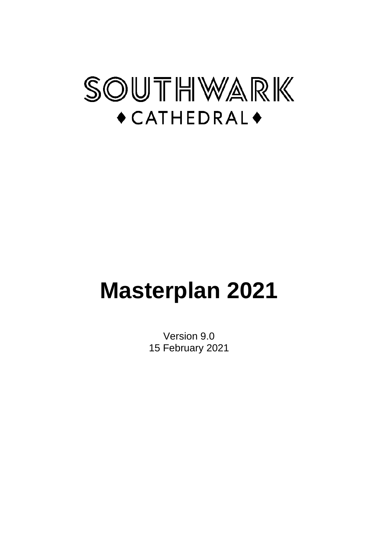

# **Masterplan 2021**

Version 9.0 15 February 2021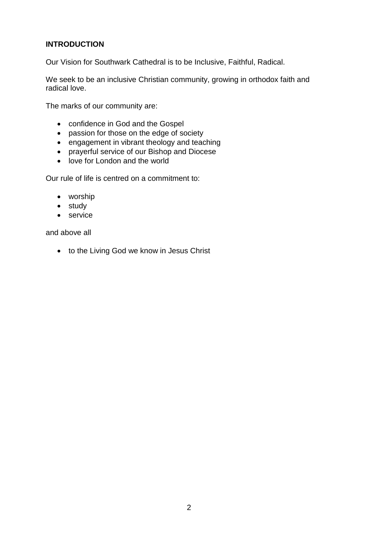# **INTRODUCTION**

Our Vision for Southwark Cathedral is to be Inclusive, Faithful, Radical.

We seek to be an inclusive Christian community, growing in orthodox faith and radical love.

The marks of our community are:

- confidence in God and the Gospel
- passion for those on the edge of society
- engagement in vibrant theology and teaching
- prayerful service of our Bishop and Diocese
- love for London and the world

Our rule of life is centred on a commitment to:

- worship
- study
- service

and above all

• to the Living God we know in Jesus Christ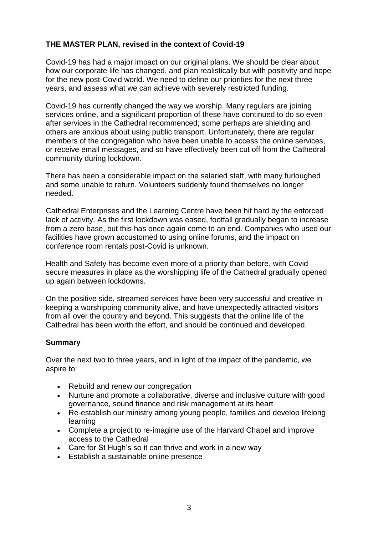## **THE MASTER PLAN, revised in the context of Covid-19**

Covid-19 has had a major impact on our original plans. We should be clear about how our corporate life has changed, and plan realistically but with positivity and hope for the new post-Covid world. We need to define our priorities for the next three years, and assess what we can achieve with severely restricted funding.

Covid-19 has currently changed the way we worship. Many regulars are joining services online, and a significant proportion of these have continued to do so even after services in the Cathedral recommenced; some perhaps are shielding and others are anxious about using public transport. Unfortunately, there are regular members of the congregation who have been unable to access the online services, or receive email messages, and so have effectively been cut off from the Cathedral community during lockdown.

There has been a considerable impact on the salaried staff, with many furloughed and some unable to return. Volunteers suddenly found themselves no longer needed.

Cathedral Enterprises and the Learning Centre have been hit hard by the enforced lack of activity. As the first lockdown was eased, footfall gradually began to increase from a zero base, but this has once again come to an end. Companies who used our facilities have grown accustomed to using online forums, and the impact on conference room rentals post-Covid is unknown.

Health and Safety has become even more of a priority than before, with Covid secure measures in place as the worshipping life of the Cathedral gradually opened up again between lockdowns.

On the positive side, streamed services have been very successful and creative in keeping a worshipping community alive, and have unexpectedly attracted visitors from all over the country and beyond. This suggests that the online life of the Cathedral has been worth the effort, and should be continued and developed.

#### **Summary**

Over the next two to three years, and in light of the impact of the pandemic, we aspire to:

- Rebuild and renew our congregation
- Nurture and promote a collaborative, diverse and inclusive culture with good governance, sound finance and risk management at its heart
- Re-establish our ministry among young people, families and develop lifelong learning
- Complete a project to re-imagine use of the Harvard Chapel and improve access to the Cathedral
- Care for St Hugh's so it can thrive and work in a new way
- Establish a sustainable online presence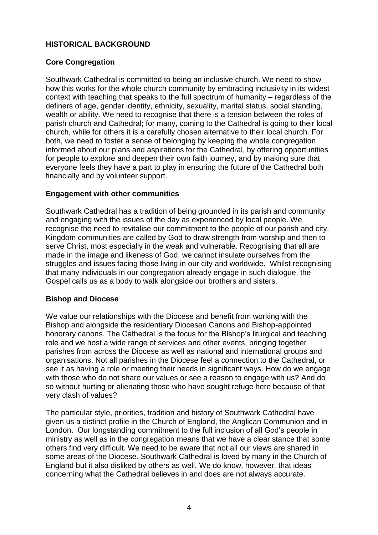## **HISTORICAL BACKGROUND**

## **Core Congregation**

Southwark Cathedral is committed to being an inclusive church. We need to show how this works for the whole church community by embracing inclusivity in its widest context with teaching that speaks to the full spectrum of humanity – regardless of the definers of age, gender identity, ethnicity, sexuality, marital status, social standing, wealth or ability. We need to recognise that there is a tension between the roles of parish church and Cathedral; for many, coming to the Cathedral is going to their local church, while for others it is a carefully chosen alternative to their local church. For both, we need to foster a sense of belonging by keeping the whole congregation informed about our plans and aspirations for the Cathedral, by offering opportunities for people to explore and deepen their own faith journey, and by making sure that everyone feels they have a part to play in ensuring the future of the Cathedral both financially and by volunteer support.

## **Engagement with other communities**

Southwark Cathedral has a tradition of being grounded in its parish and community and engaging with the issues of the day as experienced by local people. We recognise the need to revitalise our commitment to the people of our parish and city. Kingdom communities are called by God to draw strength from worship and then to serve Christ, most especially in the weak and vulnerable. Recognising that all are made in the image and likeness of God, we cannot insulate ourselves from the struggles and issues facing those living in our city and worldwide. Whilst recognising that many individuals in our congregation already engage in such dialogue, the Gospel calls us as a body to walk alongside our brothers and sisters.

#### **Bishop and Diocese**

We value our relationships with the Diocese and benefit from working with the Bishop and alongside the residentiary Diocesan Canons and Bishop-appointed honorary canons. The Cathedral is the focus for the Bishop's liturgical and teaching role and we host a wide range of services and other events, bringing together parishes from across the Diocese as well as national and international groups and organisations. Not all parishes in the Diocese feel a connection to the Cathedral, or see it as having a role or meeting their needs in significant ways. How do we engage with those who do not share our values or see a reason to engage with us? And do so without hurting or alienating those who have sought refuge here because of that very clash of values?

The particular style, priorities, tradition and history of Southwark Cathedral have given us a distinct profile in the Church of England, the Anglican Communion and in London. Our longstanding commitment to the full inclusion of all God's people in ministry as well as in the congregation means that we have a clear stance that some others find very difficult. We need to be aware that not all our views are shared in some areas of the Diocese. Southwark Cathedral is loved by many in the Church of England but it also disliked by others as well. We do know, however, that ideas concerning what the Cathedral believes in and does are not always accurate.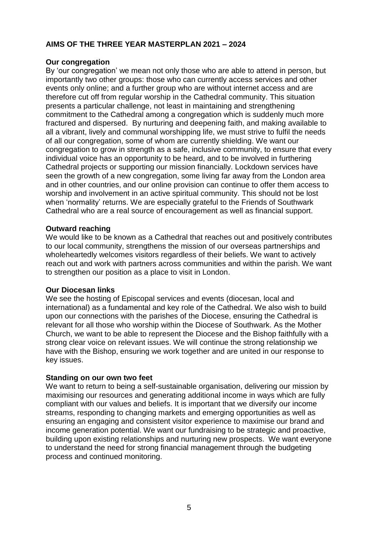## **AIMS OF THE THREE YEAR MASTERPLAN 2021 – 2024**

#### **Our congregation**

By 'our congregation' we mean not only those who are able to attend in person, but importantly two other groups: those who can currently access services and other events only online; and a further group who are without internet access and are therefore cut off from regular worship in the Cathedral community. This situation presents a particular challenge, not least in maintaining and strengthening commitment to the Cathedral among a congregation which is suddenly much more fractured and dispersed. By nurturing and deepening faith, and making available to all a vibrant, lively and communal worshipping life, we must strive to fulfil the needs of all our congregation, some of whom are currently shielding. We want our congregation to grow in strength as a safe, inclusive community, to ensure that every individual voice has an opportunity to be heard, and to be involved in furthering Cathedral projects or supporting our mission financially. Lockdown services have seen the growth of a new congregation, some living far away from the London area and in other countries, and our online provision can continue to offer them access to worship and involvement in an active spiritual community. This should not be lost when 'normality' returns. We are especially grateful to the Friends of Southwark Cathedral who are a real source of encouragement as well as financial support.

#### **Outward reaching**

We would like to be known as a Cathedral that reaches out and positively contributes to our local community, strengthens the mission of our overseas partnerships and wholeheartedly welcomes visitors regardless of their beliefs. We want to actively reach out and work with partners across communities and within the parish. We want to strengthen our position as a place to visit in London.

#### **Our Diocesan links**

We see the hosting of Episcopal services and events (diocesan, local and international) as a fundamental and key role of the Cathedral. We also wish to build upon our connections with the parishes of the Diocese, ensuring the Cathedral is relevant for all those who worship within the Diocese of Southwark. As the Mother Church, we want to be able to represent the Diocese and the Bishop faithfully with a strong clear voice on relevant issues. We will continue the strong relationship we have with the Bishop, ensuring we work together and are united in our response to key issues.

#### **Standing on our own two feet**

We want to return to being a self-sustainable organisation, delivering our mission by maximising our resources and generating additional income in ways which are fully compliant with our values and beliefs. It is important that we diversify our income streams, responding to changing markets and emerging opportunities as well as ensuring an engaging and consistent visitor experience to maximise our brand and income generation potential. We want our fundraising to be strategic and proactive, building upon existing relationships and nurturing new prospects. We want everyone to understand the need for strong financial management through the budgeting process and continued monitoring.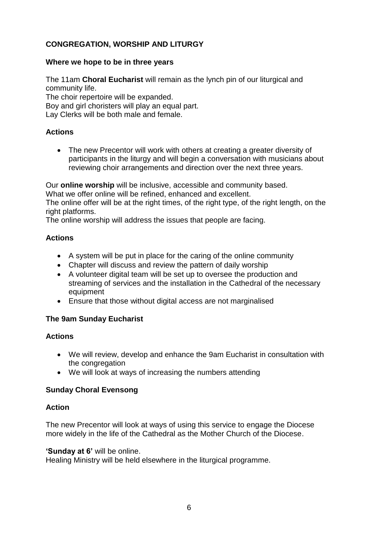# **CONGREGATION, WORSHIP AND LITURGY**

#### **Where we hope to be in three years**

The 11am **Choral Eucharist** will remain as the lynch pin of our liturgical and community life.

The choir repertoire will be expanded.

Boy and girl choristers will play an equal part.

Lay Clerks will be both male and female.

## **Actions**

• The new Precentor will work with others at creating a greater diversity of participants in the liturgy and will begin a conversation with musicians about reviewing choir arrangements and direction over the next three years.

Our **online worship** will be inclusive, accessible and community based.

What we offer online will be refined, enhanced and excellent.

The online offer will be at the right times, of the right type, of the right length, on the right platforms.

The online worship will address the issues that people are facing.

## **Actions**

- A system will be put in place for the caring of the online community
- Chapter will discuss and review the pattern of daily worship
- A volunteer digital team will be set up to oversee the production and streaming of services and the installation in the Cathedral of the necessary equipment
- Ensure that those without digital access are not marginalised

## **The 9am Sunday Eucharist**

## **Actions**

- We will review, develop and enhance the 9am Eucharist in consultation with the congregation
- We will look at ways of increasing the numbers attending

## **Sunday Choral Evensong**

## **Action**

The new Precentor will look at ways of using this service to engage the Diocese more widely in the life of the Cathedral as the Mother Church of the Diocese.

#### **'Sunday at 6'** will be online.

Healing Ministry will be held elsewhere in the liturgical programme.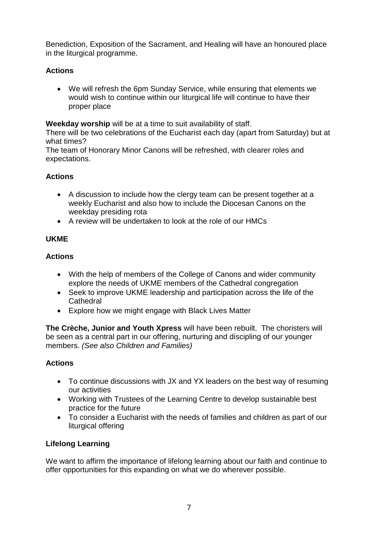Benediction, Exposition of the Sacrament, and Healing will have an honoured place in the liturgical programme.

# **Actions**

 We will refresh the 6pm Sunday Service, while ensuring that elements we would wish to continue within our liturgical life will continue to have their proper place

**Weekday worship** will be at a time to suit availability of staff.

There will be two celebrations of the Eucharist each day (apart from Saturday) but at what times?

The team of Honorary Minor Canons will be refreshed, with clearer roles and expectations.

## **Actions**

- A discussion to include how the clergy team can be present together at a weekly Eucharist and also how to include the Diocesan Canons on the weekday presiding rota
- A review will be undertaken to look at the role of our HMCs

# **UKME**

## **Actions**

- With the help of members of the College of Canons and wider community explore the needs of UKME members of the Cathedral congregation
- Seek to improve UKME leadership and participation across the life of the **Cathedral**
- Explore how we might engage with Black Lives Matter

**The Crèche, Junior and Youth Xpress** will have been rebuilt. The choristers will be seen as a central part in our offering, nurturing and discipling of our younger members. *(See also Children and Families)*

## **Actions**

- To continue discussions with JX and YX leaders on the best way of resuming our activities
- Working with Trustees of the Learning Centre to develop sustainable best practice for the future
- To consider a Eucharist with the needs of families and children as part of our liturgical offering

# **Lifelong Learning**

We want to affirm the importance of lifelong learning about our faith and continue to offer opportunities for this expanding on what we do wherever possible.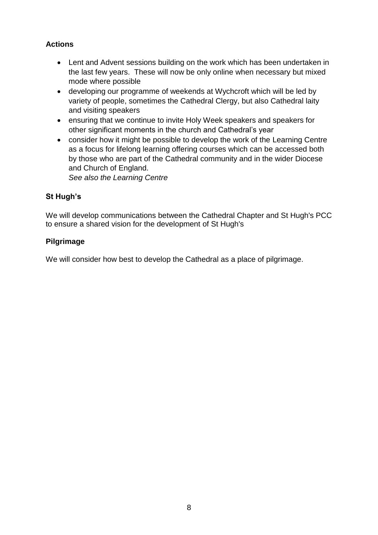# **Actions**

- Lent and Advent sessions building on the work which has been undertaken in the last few years. These will now be only online when necessary but mixed mode where possible
- developing our programme of weekends at Wychcroft which will be led by variety of people, sometimes the Cathedral Clergy, but also Cathedral laity and visiting speakers
- ensuring that we continue to invite Holy Week speakers and speakers for other significant moments in the church and Cathedral's year
- consider how it might be possible to develop the work of the Learning Centre as a focus for lifelong learning offering courses which can be accessed both by those who are part of the Cathedral community and in the wider Diocese and Church of England.

*See also the Learning Centre*

## **St Hugh's**

We will develop communications between the Cathedral Chapter and St Hugh's PCC to ensure a shared vision for the development of St Hugh's

## **Pilgrimage**

We will consider how best to develop the Cathedral as a place of pilgrimage.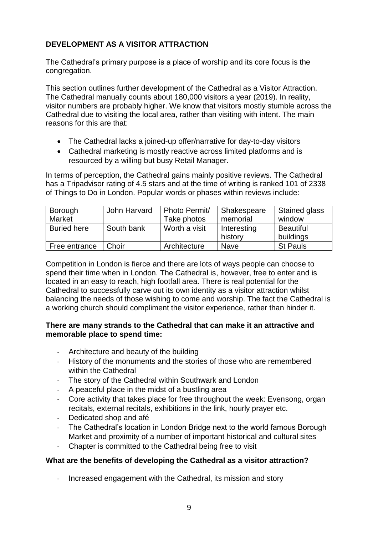# **DEVELOPMENT AS A VISITOR ATTRACTION**

The Cathedral's primary purpose is a place of worship and its core focus is the congregation.

This section outlines further development of the Cathedral as a Visitor Attraction. The Cathedral manually counts about 180,000 visitors a year (2019). In reality, visitor numbers are probably higher. We know that visitors mostly stumble across the Cathedral due to visiting the local area, rather than visiting with intent. The main reasons for this are that:

- The Cathedral lacks a joined-up offer/narrative for day-to-day visitors
- Cathedral marketing is mostly reactive across limited platforms and is resourced by a willing but busy Retail Manager.

In terms of perception, the Cathedral gains mainly positive reviews. The Cathedral has a Tripadvisor rating of 4.5 stars and at the time of writing is ranked 101 of 2338 of Things to Do in London. Popular words or phases within reviews include:

| Borough            | John Harvard | Photo Permit/ | Shakespeare | Stained glass    |
|--------------------|--------------|---------------|-------------|------------------|
| Market             |              | Take photos   | memorial    | window           |
| <b>Buried here</b> | South bank   | Worth a visit | Interesting | <b>Beautiful</b> |
|                    |              |               | history     | buildings        |
| Free entrance      | Choir        | Architecture  | <b>Nave</b> | <b>St Pauls</b>  |

Competition in London is fierce and there are lots of ways people can choose to spend their time when in London. The Cathedral is, however, free to enter and is located in an easy to reach, high footfall area. There is real potential for the Cathedral to successfully carve out its own identity as a visitor attraction whilst balancing the needs of those wishing to come and worship. The fact the Cathedral is a working church should compliment the visitor experience, rather than hinder it.

## **There are many strands to the Cathedral that can make it an attractive and memorable place to spend time:**

- Architecture and beauty of the building
- History of the monuments and the stories of those who are remembered within the Cathedral
- The story of the Cathedral within Southwark and London
- A peaceful place in the midst of a bustling area
- Core activity that takes place for free throughout the week: Evensong, organ recitals, external recitals, exhibitions in the link, hourly prayer etc.
- Dedicated shop and afé
- The Cathedral's location in London Bridge next to the world famous Borough Market and proximity of a number of important historical and cultural sites
- Chapter is committed to the Cathedral being free to visit

## **What are the benefits of developing the Cathedral as a visitor attraction?**

- Increased engagement with the Cathedral, its mission and story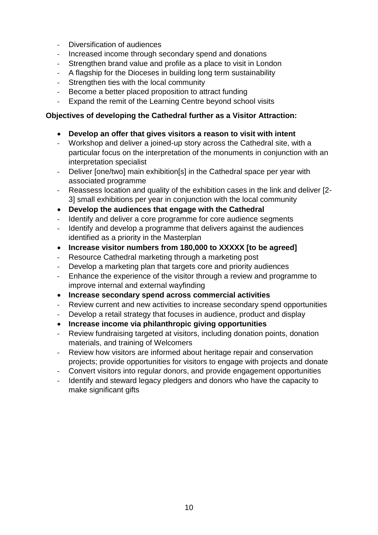- Diversification of audiences
- Increased income through secondary spend and donations
- Strengthen brand value and profile as a place to visit in London
- A flagship for the Dioceses in building long term sustainability
- Strengthen ties with the local community
- Become a better placed proposition to attract funding
- Expand the remit of the Learning Centre beyond school visits

## **Objectives of developing the Cathedral further as a Visitor Attraction:**

- **Develop an offer that gives visitors a reason to visit with intent**
- Workshop and deliver a joined-up story across the Cathedral site, with a particular focus on the interpretation of the monuments in conjunction with an interpretation specialist
- Deliver [one/two] main exhibition[s] in the Cathedral space per year with associated programme
- Reassess location and quality of the exhibition cases in the link and deliver [2- 3] small exhibitions per year in conjunction with the local community
- **Develop the audiences that engage with the Cathedral**
- Identify and deliver a core programme for core audience segments
- Identify and develop a programme that delivers against the audiences identified as a priority in the Masterplan
- **Increase visitor numbers from 180,000 to XXXXX [to be agreed]**
- Resource Cathedral marketing through a marketing post
- Develop a marketing plan that targets core and priority audiences
- Enhance the experience of the visitor through a review and programme to improve internal and external wayfinding
- **Increase secondary spend across commercial activities**
- Review current and new activities to increase secondary spend opportunities
- Develop a retail strategy that focuses in audience, product and display
- **Increase income via philanthropic giving opportunities**
- Review fundraising targeted at visitors, including donation points, donation materials, and training of Welcomers
- Review how visitors are informed about heritage repair and conservation projects; provide opportunities for visitors to engage with projects and donate
- Convert visitors into regular donors, and provide engagement opportunities
- Identify and steward legacy pledgers and donors who have the capacity to make significant gifts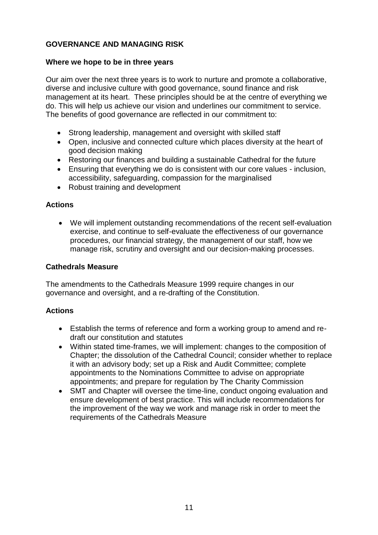# **GOVERNANCE AND MANAGING RISK**

## **Where we hope to be in three years**

Our aim over the next three years is to work to nurture and promote a collaborative, diverse and inclusive culture with good governance, sound finance and risk management at its heart. These principles should be at the centre of everything we do. This will help us achieve our vision and underlines our commitment to service. The benefits of good governance are reflected in our commitment to:

- Strong leadership, management and oversight with skilled staff
- Open, inclusive and connected culture which places diversity at the heart of good decision making
- Restoring our finances and building a sustainable Cathedral for the future
- Ensuring that everything we do is consistent with our core values inclusion, accessibility, safeguarding, compassion for the marginalised
- Robust training and development

## **Actions**

 We will implement outstanding recommendations of the recent self-evaluation exercise, and continue to self-evaluate the effectiveness of our governance procedures, our financial strategy, the management of our staff, how we manage risk, scrutiny and oversight and our decision-making processes.

#### **Cathedrals Measure**

The amendments to the Cathedrals Measure 1999 require changes in our governance and oversight, and a re-drafting of the Constitution.

- Establish the terms of reference and form a working group to amend and redraft our constitution and statutes
- Within stated time-frames, we will implement: changes to the composition of Chapter; the dissolution of the Cathedral Council; consider whether to replace it with an advisory body; set up a Risk and Audit Committee; complete appointments to the Nominations Committee to advise on appropriate appointments; and prepare for regulation by The Charity Commission
- SMT and Chapter will oversee the time-line, conduct ongoing evaluation and ensure development of best practice. This will include recommendations for the improvement of the way we work and manage risk in order to meet the requirements of the Cathedrals Measure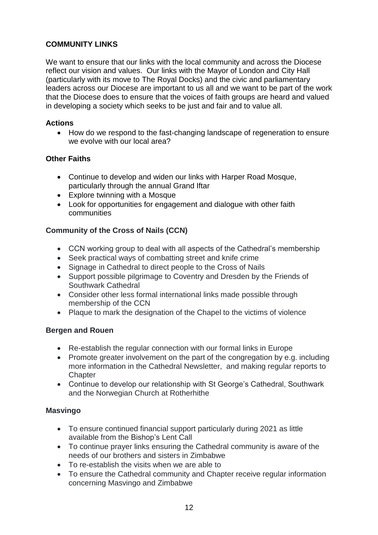# **COMMUNITY LINKS**

We want to ensure that our links with the local community and across the Diocese reflect our vision and values. Our links with the Mayor of London and City Hall (particularly with its move to The Royal Docks) and the civic and parliamentary leaders across our Diocese are important to us all and we want to be part of the work that the Diocese does to ensure that the voices of faith groups are heard and valued in developing a society which seeks to be just and fair and to value all.

#### **Actions**

• How do we respond to the fast-changing landscape of regeneration to ensure we evolve with our local area?

## **Other Faiths**

- Continue to develop and widen our links with Harper Road Mosque, particularly through the annual Grand Iftar
- Explore twinning with a Mosque
- Look for opportunities for engagement and dialogue with other faith communities

## **Community of the Cross of Nails (CCN)**

- CCN working group to deal with all aspects of the Cathedral's membership
- Seek practical ways of combatting street and knife crime
- Signage in Cathedral to direct people to the Cross of Nails
- Support possible pilgrimage to Coventry and Dresden by the Friends of Southwark Cathedral
- Consider other less formal international links made possible through membership of the CCN
- Plaque to mark the designation of the Chapel to the victims of violence

## **Bergen and Rouen**

- Re-establish the regular connection with our formal links in Europe
- Promote greater involvement on the part of the congregation by e.g. including more information in the Cathedral Newsletter, and making regular reports to **Chapter**
- Continue to develop our relationship with St George's Cathedral, Southwark and the Norwegian Church at Rotherhithe

#### **Masvingo**

- To ensure continued financial support particularly during 2021 as little available from the Bishop's Lent Call
- To continue prayer links ensuring the Cathedral community is aware of the needs of our brothers and sisters in Zimbabwe
- To re-establish the visits when we are able to
- To ensure the Cathedral community and Chapter receive regular information concerning Masvingo and Zimbabwe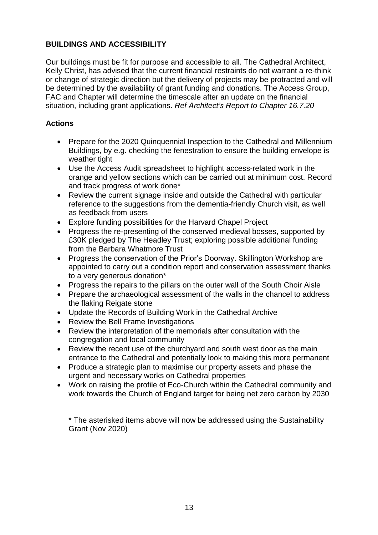## **BUILDINGS AND ACCESSIBILITY**

Our buildings must be fit for purpose and accessible to all. The Cathedral Architect, Kelly Christ, has advised that the current financial restraints do not warrant a re-think or change of strategic direction but the delivery of projects may be protracted and will be determined by the availability of grant funding and donations. The Access Group, FAC and Chapter will determine the timescale after an update on the financial situation, including grant applications. *Ref Architect's Report to Chapter 16.7.20*

## **Actions**

- Prepare for the 2020 Quinquennial Inspection to the Cathedral and Millennium Buildings, by e.g. checking the fenestration to ensure the building envelope is weather tight
- Use the Access Audit spreadsheet to highlight access-related work in the orange and yellow sections which can be carried out at minimum cost. Record and track progress of work done\*
- Review the current signage inside and outside the Cathedral with particular reference to the suggestions from the dementia-friendly Church visit, as well as feedback from users
- Explore funding possibilities for the Harvard Chapel Project
- Progress the re-presenting of the conserved medieval bosses, supported by £30K pledged by The Headley Trust; exploring possible additional funding from the Barbara Whatmore Trust
- Progress the conservation of the Prior's Doorway. Skillington Workshop are appointed to carry out a condition report and conservation assessment thanks to a very generous donation\*
- Progress the repairs to the pillars on the outer wall of the South Choir Aisle
- Prepare the archaeological assessment of the walls in the chancel to address the flaking Reigate stone
- Update the Records of Building Work in the Cathedral Archive
- Review the Bell Frame Investigations
- Review the interpretation of the memorials after consultation with the congregation and local community
- Review the recent use of the churchyard and south west door as the main entrance to the Cathedral and potentially look to making this more permanent
- Produce a strategic plan to maximise our property assets and phase the urgent and necessary works on Cathedral properties
- Work on raising the profile of Eco-Church within the Cathedral community and work towards the Church of England target for being net zero carbon by 2030

\* The asterisked items above will now be addressed using the Sustainability Grant (Nov 2020)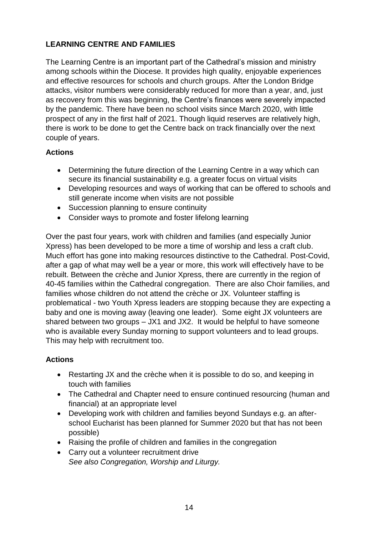# **LEARNING CENTRE AND FAMILIES**

The Learning Centre is an important part of the Cathedral's mission and ministry among schools within the Diocese. It provides high quality, enjoyable experiences and effective resources for schools and church groups. After the London Bridge attacks, visitor numbers were considerably reduced for more than a year, and, just as recovery from this was beginning, the Centre's finances were severely impacted by the pandemic. There have been no school visits since March 2020, with little prospect of any in the first half of 2021. Though liquid reserves are relatively high, there is work to be done to get the Centre back on track financially over the next couple of years.

## **Actions**

- Determining the future direction of the Learning Centre in a way which can secure its financial sustainability e.g. a greater focus on virtual visits
- Developing resources and ways of working that can be offered to schools and still generate income when visits are not possible
- Succession planning to ensure continuity
- Consider ways to promote and foster lifelong learning

Over the past four years, work with children and families (and especially Junior Xpress) has been developed to be more a time of worship and less a craft club. Much effort has gone into making resources distinctive to the Cathedral. Post-Covid, after a gap of what may well be a year or more, this work will effectively have to be rebuilt. Between the crèche and Junior Xpress, there are currently in the region of 40-45 families within the Cathedral congregation. There are also Choir families, and families whose children do not attend the crèche or JX. Volunteer staffing is problematical - two Youth Xpress leaders are stopping because they are expecting a baby and one is moving away (leaving one leader). Some eight JX volunteers are shared between two groups – JX1 and JX2. It would be helpful to have someone who is available every Sunday morning to support volunteers and to lead groups. This may help with recruitment too.

- Restarting JX and the crèche when it is possible to do so, and keeping in touch with families
- The Cathedral and Chapter need to ensure continued resourcing (human and financial) at an appropriate level
- Developing work with children and families beyond Sundays e.g. an afterschool Eucharist has been planned for Summer 2020 but that has not been possible)
- Raising the profile of children and families in the congregation
- Carry out a volunteer recruitment drive *See also Congregation, Worship and Liturgy.*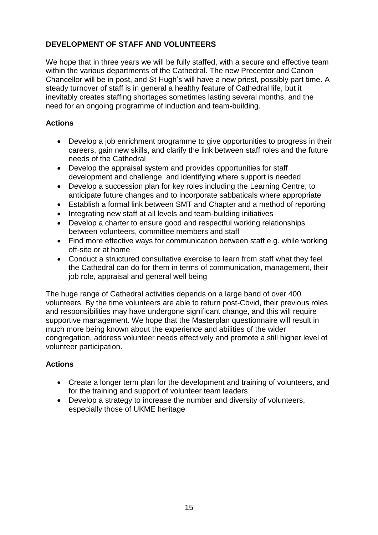# **DEVELOPMENT OF STAFF AND VOLUNTEERS**

We hope that in three years we will be fully staffed, with a secure and effective team within the various departments of the Cathedral. The new Precentor and Canon Chancellor will be in post, and St Hugh's will have a new priest, possibly part time. A steady turnover of staff is in general a healthy feature of Cathedral life, but it inevitably creates staffing shortages sometimes lasting several months, and the need for an ongoing programme of induction and team-building.

## **Actions**

- Develop a job enrichment programme to give opportunities to progress in their careers, gain new skills, and clarify the link between staff roles and the future needs of the Cathedral
- Develop the appraisal system and provides opportunities for staff development and challenge, and identifying where support is needed
- Develop a succession plan for key roles including the Learning Centre, to anticipate future changes and to incorporate sabbaticals where appropriate
- Establish a formal link between SMT and Chapter and a method of reporting
- Integrating new staff at all levels and team-building initiatives
- Develop a charter to ensure good and respectful working relationships between volunteers, committee members and staff
- Find more effective ways for communication between staff e.g. while working off-site or at home
- Conduct a structured consultative exercise to learn from staff what they feel the Cathedral can do for them in terms of communication, management, their job role, appraisal and general well being

The huge range of Cathedral activities depends on a large band of over 400 volunteers. By the time volunteers are able to return post-Covid, their previous roles and responsibilities may have undergone significant change, and this will require supportive management. We hope that the Masterplan questionnaire will result in much more being known about the experience and abilities of the wider congregation, address volunteer needs effectively and promote a still higher level of volunteer participation.

- Create a longer term plan for the development and training of volunteers, and for the training and support of volunteer team leaders
- Develop a strategy to increase the number and diversity of volunteers, especially those of UKME heritage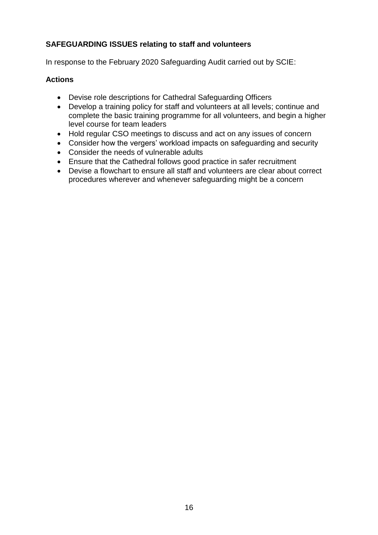# **SAFEGUARDING ISSUES relating to staff and volunteers**

In response to the February 2020 Safeguarding Audit carried out by SCIE:

- Devise role descriptions for Cathedral Safeguarding Officers
- Develop a training policy for staff and volunteers at all levels; continue and complete the basic training programme for all volunteers, and begin a higher level course for team leaders
- Hold regular CSO meetings to discuss and act on any issues of concern
- Consider how the vergers' workload impacts on safeguarding and security
- Consider the needs of vulnerable adults
- Ensure that the Cathedral follows good practice in safer recruitment
- Devise a flowchart to ensure all staff and volunteers are clear about correct procedures wherever and whenever safeguarding might be a concern